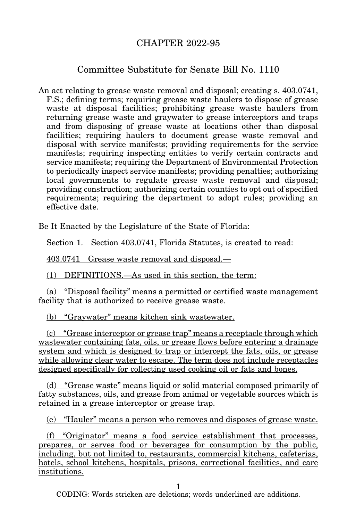## CHAPTER 2022-95

## Committee Substitute for Senate Bill No. 1110

An act relating to grease waste removal and disposal; creating s. 403.0741, F.S.; defining terms; requiring grease waste haulers to dispose of grease waste at disposal facilities; prohibiting grease waste haulers from returning grease waste and graywater to grease interceptors and traps and from disposing of grease waste at locations other than disposal facilities; requiring haulers to document grease waste removal and disposal with service manifests; providing requirements for the service manifests; requiring inspecting entities to verify certain contracts and service manifests; requiring the Department of Environmental Protection to periodically inspect service manifests; providing penalties; authorizing local governments to regulate grease waste removal and disposal; providing construction; authorizing certain counties to opt out of specified requirements; requiring the department to adopt rules; providing an effective date.

Be It Enacted by the Legislature of the State of Florida:

Section 1. Section 403.0741, Florida Statutes, is created to read:

403.0741 Grease waste removal and disposal.—

(1) DEFINITIONS.—As used in this section, the term:

(a) "Disposal facility" means a permitted or certified waste management facility that is authorized to receive grease waste.

(b) "Graywater" means kitchen sink wastewater.

(c) "Grease interceptor or grease trap" means a receptacle through which wastewater containing fats, oils, or grease flows before entering a drainage system and which is designed to trap or intercept the fats, oils, or grease while allowing clear water to escape. The term does not include receptacles designed specifically for collecting used cooking oil or fats and bones.

(d) "Grease waste" means liquid or solid material composed primarily of fatty substances, oils, and grease from animal or vegetable sources which is retained in a grease interceptor or grease trap.

(e) "Hauler" means a person who removes and disposes of grease waste.

(f) "Originator" means a food service establishment that processes, prepares, or serves food or beverages for consumption by the public, including, but not limited to, restaurants, commercial kitchens, cafeterias, hotels, school kitchens, hospitals, prisons, correctional facilities, and care institutions.

1

CODING: Words stricken are deletions; words underlined are additions.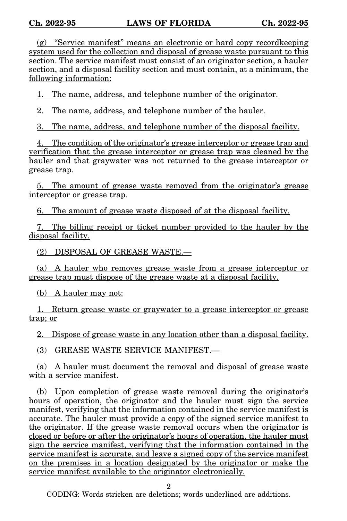(g) "Service manifest" means an electronic or hard copy recordkeeping system used for the collection and disposal of grease waste pursuant to this section. The service manifest must consist of an originator section, a hauler section, and a disposal facility section and must contain, at a minimum, the following information:

1. The name, address, and telephone number of the originator.

2. The name, address, and telephone number of the hauler.

3. The name, address, and telephone number of the disposal facility.

4. The condition of the originator's grease interceptor or grease trap and verification that the grease interceptor or grease trap was cleaned by the hauler and that graywater was not returned to the grease interceptor or grease trap.

5. The amount of grease waste removed from the originator's grease interceptor or grease trap.

6. The amount of grease waste disposed of at the disposal facility.

7. The billing receipt or ticket number provided to the hauler by the disposal facility.

(2) DISPOSAL OF GREASE WASTE.—

(a) A hauler who removes grease waste from a grease interceptor or grease trap must dispose of the grease waste at a disposal facility.

(b) A hauler may not:

1. Return grease waste or graywater to a grease interceptor or grease trap; or

2. Dispose of grease waste in any location other than a disposal facility.

(3) GREASE WASTE SERVICE MANIFEST.—

(a) A hauler must document the removal and disposal of grease waste with a service manifest.

(b) Upon completion of grease waste removal during the originator's hours of operation, the originator and the hauler must sign the service manifest, verifying that the information contained in the service manifest is accurate. The hauler must provide a copy of the signed service manifest to the originator. If the grease waste removal occurs when the originator is closed or before or after the originator's hours of operation, the hauler must sign the service manifest, verifying that the information contained in the service manifest is accurate, and leave a signed copy of the service manifest on the premises in a location designated by the originator or make the service manifest available to the originator electronically.

2

CODING: Words stricken are deletions; words underlined are additions.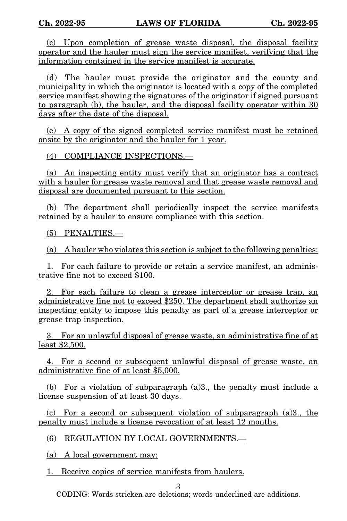(c) Upon completion of grease waste disposal, the disposal facility operator and the hauler must sign the service manifest, verifying that the information contained in the service manifest is accurate.

(d) The hauler must provide the originator and the county and municipality in which the originator is located with a copy of the completed service manifest showing the signatures of the originator if signed pursuant to paragraph (b), the hauler, and the disposal facility operator within 30 days after the date of the disposal.

(e) A copy of the signed completed service manifest must be retained onsite by the originator and the hauler for 1 year.

(4) COMPLIANCE INSPECTIONS.—

(a) An inspecting entity must verify that an originator has a contract with a hauler for grease waste removal and that grease waste removal and disposal are documented pursuant to this section.

(b) The department shall periodically inspect the service manifests retained by a hauler to ensure compliance with this section.

(5) PENALTIES.—

(a) A hauler who violates this section is subject to the following penalties:

1. For each failure to provide or retain a service manifest, an administrative fine not to exceed \$100.

2. For each failure to clean a grease interceptor or grease trap, an administrative fine not to exceed \$250. The department shall authorize an inspecting entity to impose this penalty as part of a grease interceptor or grease trap inspection.

3. For an unlawful disposal of grease waste, an administrative fine of at least \$2,500.

4. For a second or subsequent unlawful disposal of grease waste, an administrative fine of at least \$5,000.

(b) For a violation of subparagraph  $(a)$ 3., the penalty must include a license suspension of at least 30 days.

(c) For a second or subsequent violation of subparagraph (a)3., the penalty must include a license revocation of at least 12 months.

(6) REGULATION BY LOCAL GOVERNMENTS.—

(a) A local government may:

1. Receive copies of service manifests from haulers.

3

CODING: Words stricken are deletions; words underlined are additions.